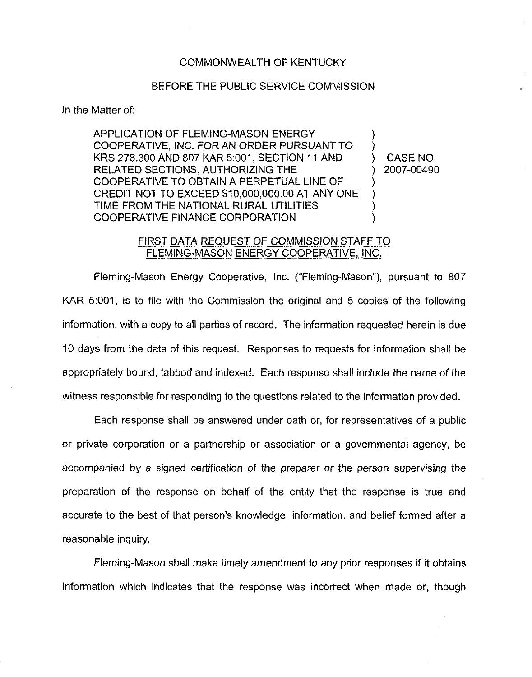## COMMONWEALTH OF KENTUCKY

## BEFORE THE PUBLIC SERVICE COMMISSION

In the Matter of:

APPLICATION OF FLEMING-MASON ENERGY COOPERATIVE, INC. FOR AN ORDER PURSUANT TO KRS 278.300 AND 807 KAR 5:001, SECTION 11 AND RELATED SECTIONS, AUTHORIZING THE COOPERATIVE TO OBTAIN A PERPETUAL LINE OF CREDIT NOT TO EXCEED \$10,000,000.00AT ANY ONE TIME FROM THE NATIONAL RURAL UTILITIES COOPERATIVE FINANCE CORPORATION ) ) ) ) ) )

) CASE NO. ) 2007-00490  $\frac{1}{2}$  .

## FIRST DATA REQUEST OF COMMiSSION STAFF TO FLEMING-MASON ENERGY COOPERATIVE, INC.

Fleming-Mason Energy Cooperative, Inc. ("Fleming-Mason"), pursuant to 807 KAR 5:001, is to file with the Commission the original and 5 copies of the following information, with a copy to all parties of record. The information requested herein is due 10 days from the date of this request. Responses to requests for information shall be appropriately bound, tabbed and indexed. Each response shali include the name of the witness responsible for responding to the questions related to the information provided.

Each response shall be answered under oath or, for representatives of a public or private corporation or a partnership or association or a governmental agency, be accompanied by a signed certification of the preparer or the person supervising the preparation of the response on behalf of the entity that the response is true and accurate to the best of that person's knowledge, information, and belief formed after a reasonable inquiry,

Fleming-Mason shall make timely amendment to any prior responses if it obtains information which indicates that the response was incorrect when made or, though